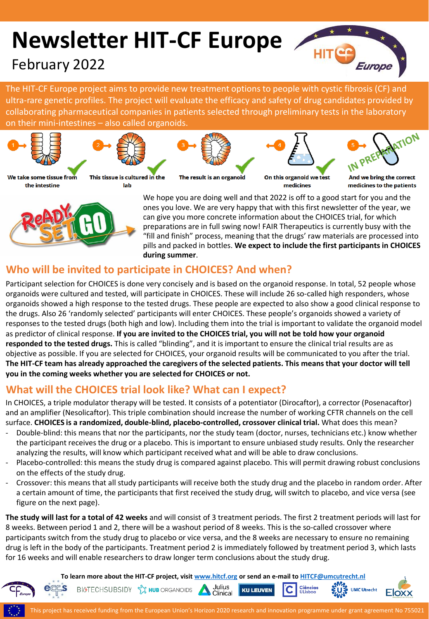# **Newsletter HIT-CF Europe**

# February 2022



The HIT-CF Europe project aims to provide new treatment options to people with cystic fibrosis (CF) and [ultra-rare genetic profiles. The project will evaluate the efficacy and safety of drug candidates provided by](https://player.vimeo.com/video/249936556)  collaborating pharmaceutical companies in patients selected through preliminary tests in the laboratory on their mini-intestines – also called organoids.



the intestine



lab



The result is an organoid

On this organoid we test

modicinos



And we bring the correct medicines to the patients



We hope you are doing well and that 2022 is off to a good start for you and the ones you love. We are very happy that with this first newsletter of the year, we can give you more concrete information about the CHOICES trial, for which preparations are in full swing now! FAIR Therapeutics is currently busy with the "fill and finish" process, meaning that the drugs' raw materials are processed into pills and packed in bottles. **We expect to include the first participants in CHOICES during summer**.

### **Who will be invited to participate in CHOICES? And when?**

Participant selection for CHOICES is done very concisely and is based on the organoid response. In total, 52 people whose organoids were cultured and tested, will participate in CHOICES. These will include 26 so-called high responders, whose organoids showed a high response to the tested drugs. These people are expected to also show a good clinical response to the drugs. Also 26 'randomly selected' participants will enter CHOICES. These people's organoids showed a variety of responses to the tested drugs (both high and low). Including them into the trial is important to validate the organoid model as predictor of clinical response. **If you are invited to the CHOICES trial, you will not be told how your organoid responded to the tested drugs.** This is called "blinding", and it is important to ensure the clinical trial results are as objective as possible. If you are selected for CHOICES, your organoid results will be communicated to you after the trial. **The HIT-CF team has already approached the caregivers of the selected patients. This means that your doctor will tell you in the coming weeks whether you are selected for CHOICES or not.**

### **What will the CHOICES trial look like? What can I expect?**

BIGTECHSUBSIDY  $\frac{1}{2}$  HUB ORGANOIDS

In CHOICES, a triple modulator therapy will be tested. It consists of a potentiator (Dirocaftor), a corrector (Posenacaftor) and an amplifier (Nesolicaftor). This triple combination should increase the number of working CFTR channels on the cell surface. **CHOICES is a randomized, double-blind, placebo-controlled, crossover clinical trial.** What does this mean?

- Double-blind: this means that nor the participants, nor the study team (doctor, nurses, technicians etc.) know whether the participant receives the drug or a placebo. This is important to ensure unbiased study results. Only the researcher analyzing the results, will know which participant received what and will be able to draw conclusions.
- Placebo-controlled: this means the study drug is compared against placebo. This will permit drawing robust conclusions on the effects of the study drug.
- Crossover: this means that all study participants will receive both the study drug and the placebo in random order. After a certain amount of time, the participants that first received the study drug, will switch to placebo, and vice versa (see figure on the next page).

**The study will last for a total of 42 weeks** and will consist of 3 treatment periods. The first 2 treatment periods will last for 8 weeks. Between period 1 and 2, there will be a washout period of 8 weeks. This is the so-called crossover where participants switch from the study drug to placebo or vice versa, and the 8 weeks are necessary to ensure no remaining drug is left in the body of the participants. Treatment period 2 is immediately followed by treatment period 3, which lasts for 16 weeks and will enable researchers to draw longer term conclusions about the study drug.

**To learn more about the HIT-CF project, visit [www.hitcf.org](http://www.hitcf.org/) or send an e-mail to [HITCF@umcutrecht.nl](mailto:HITCF@umcutrecht.nl)**

Julius

Clinical

**KU LEUVEN** 



**UMC Utrecht** 

Ci<mark>ências</mark><br>ULisboa